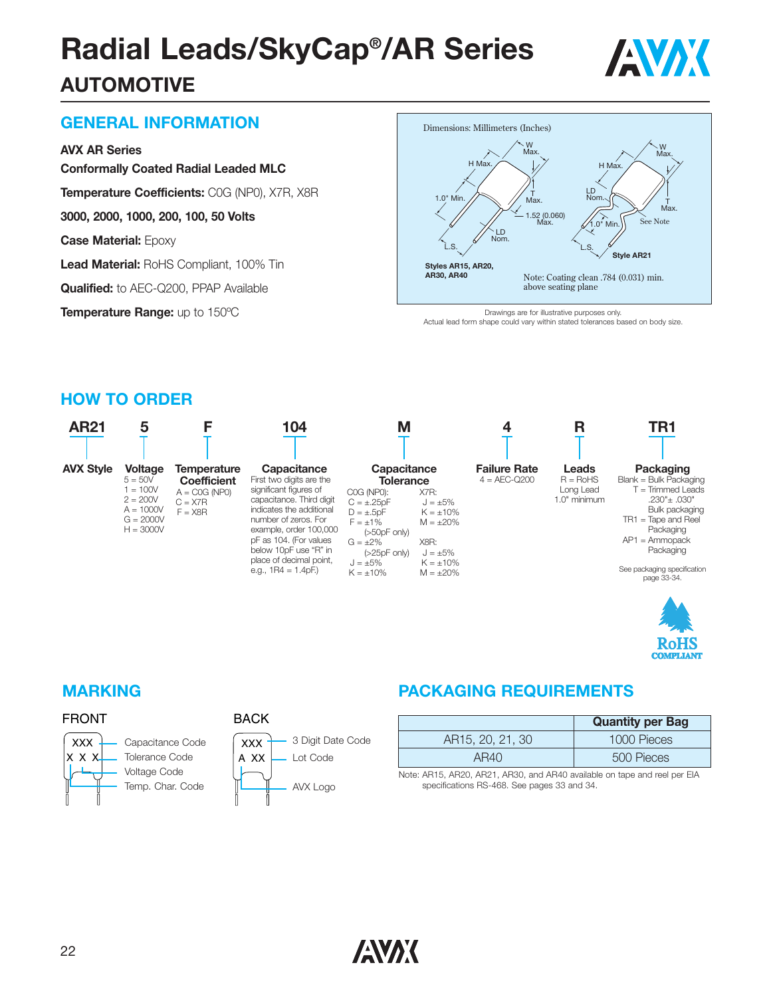# **Radial Leads/SkyCap®/AR Series AUTOMOTIVE**



# **GENERAL INFORMATION**

#### **AVX AR Series**

**Conformally Coated Radial Leaded MLC**

**Temperature Coefficients:** C0G (NP0), X7R, X8R

**3000, 2000, 1000, 200, 100, 50 Volts**

**Case Material:** Epoxy

**Lead Material:** RoHS Compliant, 100% Tin

**Qualified:** to AEC-Q200, PPAP Available

**Temperature Range:** up to 150ºC



Drawings are for illustrative purposes only. Actual lead form shape could vary within stated tolerances based on body size.

#### **HOW TO ORDER**





#### FRONT



| DAU.<br>`` |
|------------|
| xxx        |
|            |

**DACK** 

| XXX         | 3 Digit Date Code |
|-------------|-------------------|
| $\sqrt{XX}$ | Lot Code          |
|             | AVX Logo          |

### **MARKING PACKAGING REQUIREMENTS**

|                  | <b>Quantity per Bag</b> |
|------------------|-------------------------|
| AR15, 20, 21, 30 | 1000 Pieces             |
| AR40             | 500 Pieces              |

Note: AR15, AR20, AR21, AR30, and AR40 available on tape and reel per EIA specifications RS-468. See pages 33 and 34.

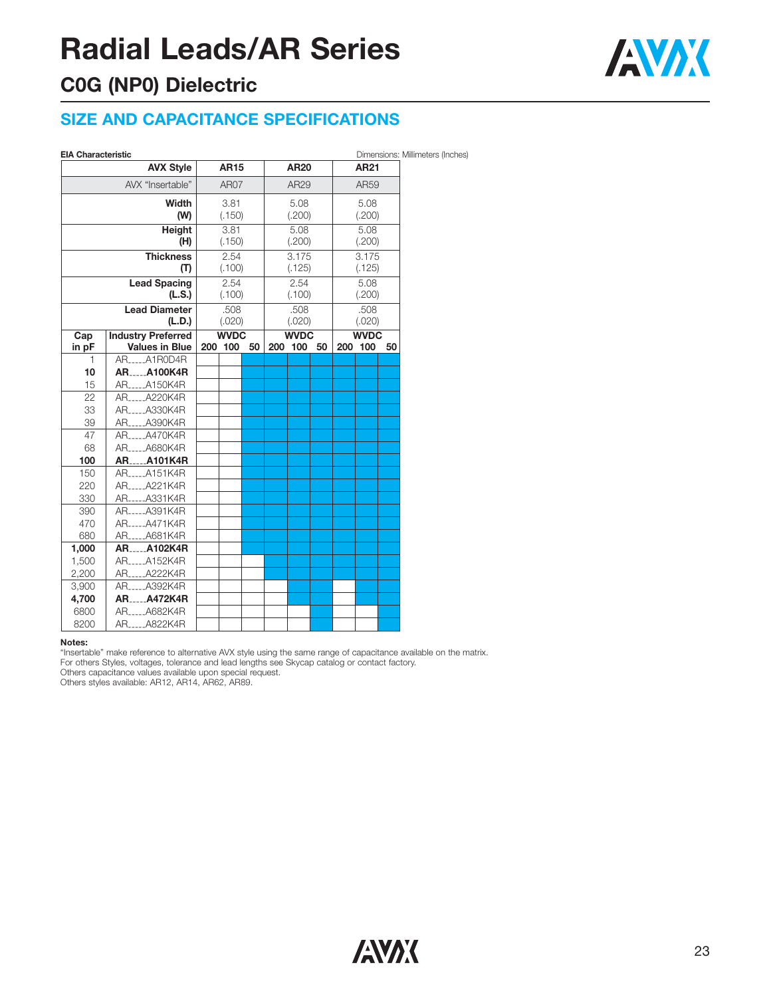# **Radial Leads/AR Series**

# **C0G (NP0) Dielectric**

### **SIZE AND CAPACITANCE SPECIFICATIONS**

| EIA Characteristic |  |
|--------------------|--|

| <b>EIA Characteristic</b> |                             |             |                |        |      |                 |        |                 |             |    | Dimensions: Millimeters (Inches) |
|---------------------------|-----------------------------|-------------|----------------|--------|------|-----------------|--------|-----------------|-------------|----|----------------------------------|
|                           | <b>AVX Style</b>            |             | <b>AR15</b>    |        |      | <b>AR20</b>     |        |                 | <b>AR21</b> |    |                                  |
|                           | AVX "Insertable"            | <b>AR07</b> |                |        | AR29 |                 |        | AR59            |             |    |                                  |
|                           | Width                       | 3.81        |                | 5.08   |      | 5.08            |        |                 |             |    |                                  |
|                           | (W)<br>(.150)               |             |                | (.200) |      |                 | (.200) |                 |             |    |                                  |
|                           | Height                      | 3.81        |                |        | 5.08 |                 |        | 5.08            |             |    |                                  |
|                           | (H)                         |             | (.150)         |        |      | (.200)          |        | (.200)          |             |    |                                  |
| <b>Thickness</b><br>(T)   |                             |             | 2.54<br>(.100) |        |      | 3.175<br>(.125) |        | 3.175<br>(.125) |             |    |                                  |
|                           | <b>Lead Spacing</b>         |             | 2.54           |        |      | 2.54            |        |                 | 5.08        |    |                                  |
| (L.S.)                    |                             |             | (.100)         |        |      | (.100)          |        |                 | (.200)      |    |                                  |
|                           | <b>Lead Diameter</b>        |             | .508           |        |      | .508            |        |                 | .508        |    |                                  |
|                           | (L.D.)                      |             | (.020)         |        |      | (.020)          |        |                 | (.020)      |    |                                  |
| Cap                       | <b>Industry Preferred</b>   |             | <b>WVDC</b>    |        |      | <b>WVDC</b>     |        |                 | <b>WVDC</b> |    |                                  |
| in pF                     | <b>Values in Blue</b>       |             | 200 100        | 50     |      | 200 100         | 50     | 200             | 100         | 50 |                                  |
| 1                         | AR <sub>-----</sub> A1R0D4R |             |                |        |      |                 |        |                 |             |    |                                  |
| 10                        | <b>ARA100K4R</b>            |             |                |        |      |                 |        |                 |             |    |                                  |
| 15                        | AR_____A150K4R              |             |                |        |      |                 |        |                 |             |    |                                  |
| 22                        | AR <sub>-----</sub> A220K4R |             |                |        |      |                 |        |                 |             |    |                                  |
| 33                        | ARA330K4R                   |             |                |        |      |                 |        |                 |             |    |                                  |
| 39                        | AR_____A390K4R              |             |                |        |      |                 |        |                 |             |    |                                  |
| 47                        | AR <sub>-----</sub> A470K4R |             |                |        |      |                 |        |                 |             |    |                                  |
| 68                        | AR_____A680K4R              |             |                |        |      |                 |        |                 |             |    |                                  |
| 100                       | ARA101K4R                   |             |                |        |      |                 |        |                 |             |    |                                  |
| 150                       | AR <sub>-----</sub> A151K4R |             |                |        |      |                 |        |                 |             |    |                                  |
| 220                       | AR <sub>-----</sub> A221K4R |             |                |        |      |                 |        |                 |             |    |                                  |
| 330                       | AR_____A331K4R              |             |                |        |      |                 |        |                 |             |    |                                  |
| 390                       | AR_____A391K4R              |             |                |        |      |                 |        |                 |             |    |                                  |
| 470                       | AR <sub>-----</sub> A471K4R |             |                |        |      |                 |        |                 |             |    |                                  |
| 680                       | AR_____A681K4R              |             |                |        |      |                 |        |                 |             |    |                                  |
| 1,000                     | <b>ARA102K4R</b>            |             |                |        |      |                 |        |                 |             |    |                                  |
| 1,500                     | AR <sub>-----</sub> A152K4R |             |                |        |      |                 |        |                 |             |    |                                  |
| 2,200                     | AR_____A222K4R              |             |                |        |      |                 |        |                 |             |    |                                  |
| 3,900                     | ARA392K4R                   |             |                |        |      |                 |        |                 |             |    |                                  |
| 4,700                     | <b>ARA472K4R</b>            |             |                |        |      |                 |        |                 |             |    |                                  |
| 6800                      | AR_____A682K4R              |             |                |        |      |                 |        |                 |             |    |                                  |
| 8200                      | ARA822K4R                   |             |                |        |      |                 |        |                 |             |    |                                  |
|                           |                             |             |                |        |      |                 |        |                 |             |    |                                  |

#### **Notes:**

"Insertable" make reference to alternative AVX style using the same range of capacitance available on the matrix.

For others Styles, voltages, tolerance and lead lengths see Skycap catalog or contact factory.

Others capacitance values available upon special request.

Others styles available: AR12, AR14, AR62, AR89.

AVX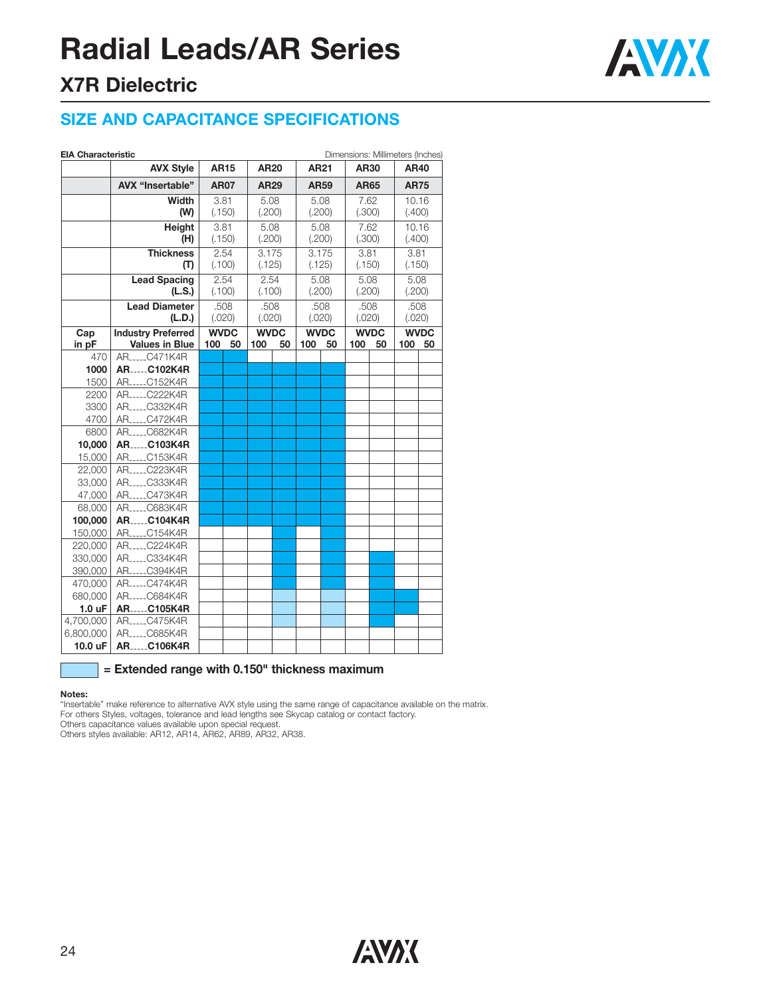# **Radial Leads/AR Series**



### **X7R Dielectric**

### **SIZE AND CAPACITANCE SPECIFICATIONS**

|                    | <b>AVX Style</b><br>AVX "Insertable"<br>Width      | <b>AR15</b>        |             |                       |             |                       |             |                       |             | <b>AR40</b>           |             |  |
|--------------------|----------------------------------------------------|--------------------|-------------|-----------------------|-------------|-----------------------|-------------|-----------------------|-------------|-----------------------|-------------|--|
|                    |                                                    |                    |             | <b>AR20</b>           |             | AR21                  |             | AR30                  |             |                       |             |  |
|                    |                                                    |                    | <b>AR07</b> |                       | <b>AR29</b> |                       | <b>AR59</b> |                       | <b>AR65</b> |                       | <b>AR75</b> |  |
|                    |                                                    | 3.81               |             | 5.08                  |             | 5.08                  |             | 7.62                  |             | 10.16                 |             |  |
|                    | (W)                                                | (.150)             |             |                       | (.200)      |                       | (.200)      |                       | (.300)      |                       | (.400)      |  |
|                    | Height                                             | 3.81               |             | 5.08                  |             | 5.08                  |             | 7.62                  |             | 10.16                 |             |  |
|                    | (H)                                                | (.150)             |             | (.200)                |             | (.200)                |             | (.300)                |             | (.400)                |             |  |
|                    | <b>Thickness</b>                                   | 2.54               |             | 3.175                 |             | 3.175                 |             | 3.81                  |             | 3.81                  |             |  |
|                    | (T)                                                | (.100)             |             | (.125)                |             | (.125)                |             | (.150)                |             | (.150)                |             |  |
|                    | <b>Lead Spacing</b>                                | 2.54               |             | 2.54                  |             | 5.08                  |             | 5.08                  |             | 5.08                  |             |  |
|                    | (L.S.)                                             | (.100)             |             | (.100)                |             | (.200)                |             | (.200)                |             | (.200)                |             |  |
|                    | <b>Lead Diameter</b>                               | .508               |             | .508                  |             | .508                  |             | .508                  |             | .508                  |             |  |
|                    | (L.D.)                                             | (.020)             |             | (.020)<br><b>WVDC</b> |             | (.020)<br><b>WVDC</b> |             | (.020)<br><b>WVDC</b> |             | (.020)<br><b>WVDC</b> |             |  |
| Cap<br>in pF       | <b>Industry Preferred</b><br><b>Values in Blue</b> | <b>WVDC</b><br>100 | 50          | 100                   | 50          | 100                   | 50          | 100                   | 50          | 100                   | 50          |  |
| 470                | AR C471K4R                                         |                    |             |                       |             |                       |             |                       |             |                       |             |  |
| 1000               | <b>ARC102K4R</b>                                   |                    |             |                       |             |                       |             |                       |             |                       |             |  |
| 1500               | ARC152K4R                                          |                    |             |                       |             |                       |             |                       |             |                       |             |  |
| 2200               | AR_____C222K4R                                     |                    |             |                       |             |                       |             |                       |             |                       |             |  |
| 3300               | AR <sub>-----</sub> C332K4R                        |                    |             |                       |             |                       |             |                       |             |                       |             |  |
| 4700               | AR_____C472K4R                                     |                    |             |                       |             |                       |             |                       |             |                       |             |  |
| 6800               | AR <sub>-----</sub> C682K4R                        |                    |             |                       |             |                       |             |                       |             |                       |             |  |
| 10,000             | <b>ARC103K4R</b>                                   |                    |             |                       |             |                       |             |                       |             |                       |             |  |
| 15,000             | ARC153K4R                                          |                    |             |                       |             |                       |             |                       |             |                       |             |  |
| 22,000             | AR_____C223K4R                                     |                    |             |                       |             |                       |             |                       |             |                       |             |  |
| 33,000             | AR <sub>-----</sub> C333K4R                        |                    |             |                       |             |                       |             |                       |             |                       |             |  |
| 47,000             | AR <sub>-----</sub> C473K4R                        |                    |             |                       |             |                       |             |                       |             |                       |             |  |
| 68,000             | AR <sub>-----</sub> C683K4R                        |                    |             |                       |             |                       |             |                       |             |                       |             |  |
| 100,000            | <b>ARC104K4R</b>                                   |                    |             |                       |             |                       |             |                       |             |                       |             |  |
| 150,000            | ARC154K4R                                          |                    |             |                       |             |                       |             |                       |             |                       |             |  |
| 220,000<br>330,000 | AR____C224K4R<br>ARC334K4R                         |                    |             |                       |             |                       |             |                       |             |                       |             |  |
| 390,000            | ARC394K4R                                          |                    |             |                       |             |                       |             |                       |             |                       |             |  |
| 470,000            | AR <sub>-----</sub> C474K4R                        |                    |             |                       |             |                       |             |                       |             |                       |             |  |
| 680,000            | AR <sub>-----</sub> C684K4R                        |                    |             |                       |             |                       |             |                       |             |                       |             |  |
| 1.0 <sub>u</sub> F | <b>ARC105K4R</b>                                   |                    |             |                       |             |                       |             |                       |             |                       |             |  |
| 4,700,000          | AR <sub>-----</sub> C475K4R                        |                    |             |                       |             |                       |             |                       |             |                       |             |  |
| 6,800,000          | AR <sub>-----</sub> C685K4R                        |                    |             |                       |             |                       |             |                       |             |                       |             |  |
| 10.0 uF            | <b>ARC106K4R</b>                                   |                    |             |                       |             |                       |             |                       |             |                       |             |  |

#### **= Extended range with 0.150" thickness maximum**

#### **Notes:**

"Insertable" make reference to alternative AVX style using the same range of capacitance available on the matrix. For others Styles, voltages, tolerance and lead lengths see Skycap catalog or contact factory. Others capacitance values available upon special request.

Others styles available: AR12, AR14, AR62, AR89, AR32, AR38.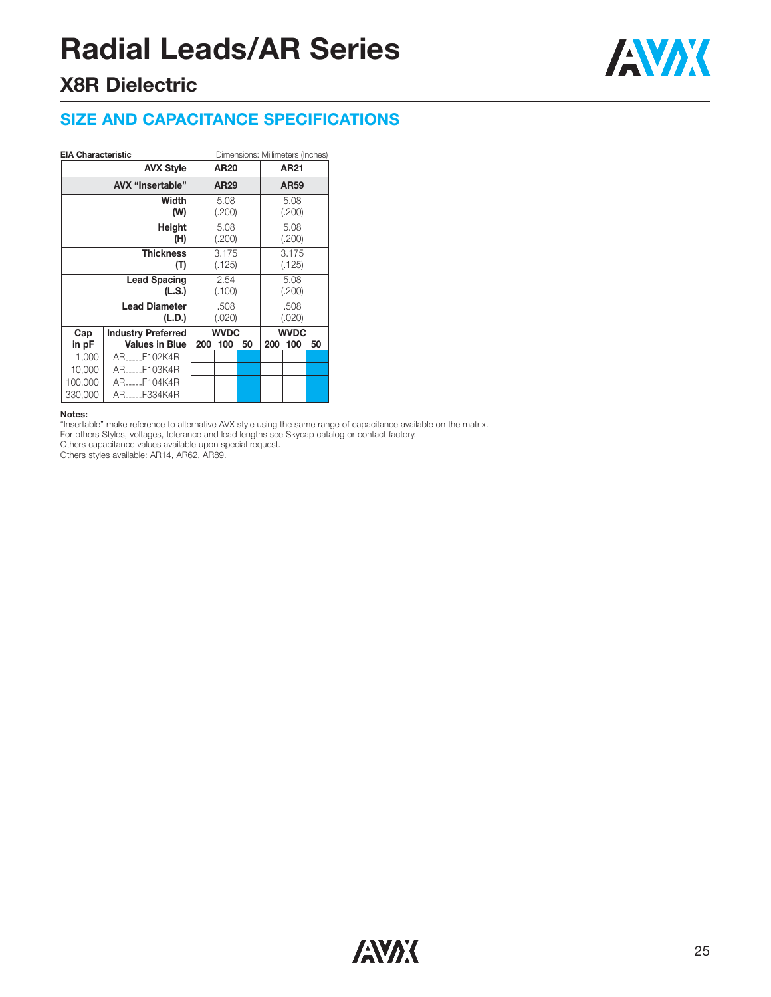# **Radial Leads/AR Series**



### **X8R Dielectric**

### **SIZE AND CAPACITANCE SPECIFICATIONS**

#### **EIA Characteristic** Dimensions: Millimeters (Inches)

| <b>AVX Style</b> |                                                    |                  | AR <sub>20</sub>   |                |                 | AR21               |    |  |
|------------------|----------------------------------------------------|------------------|--------------------|----------------|-----------------|--------------------|----|--|
|                  |                                                    | AR <sub>29</sub> |                    | AR59           |                 |                    |    |  |
|                  | Width<br>(W)                                       | 5.08<br>(.200)   |                    |                | 5.08<br>(.200)  |                    |    |  |
|                  | Height<br>(H)                                      | 5.08<br>(.200)   |                    |                | 5.08<br>(.200)  |                    |    |  |
|                  | <b>Thickness</b><br>(T)                            | 3.175<br>(.125)  |                    |                | 3.175<br>(.125) |                    |    |  |
|                  | 2.54<br>(.100)                                     |                  |                    | 5.08<br>(.200) |                 |                    |    |  |
|                  | .508<br>(.020)                                     |                  |                    | .508<br>(.020) |                 |                    |    |  |
| Cap<br>in pF     | <b>Industry Preferred</b><br><b>Values in Blue</b> | 200              | <b>WVDC</b><br>100 | 50             | 200             | <b>WVDC</b><br>100 | 50 |  |
| 1,000            | ARF102K4R                                          |                  |                    |                |                 |                    |    |  |
| 10,000           | ARF103K4R                                          |                  |                    |                |                 |                    |    |  |
| 100,000          | ARF104K4R                                          |                  |                    |                |                 |                    |    |  |
| 330,000          | ARF334K4R                                          |                  |                    |                |                 |                    |    |  |

#### **Notes:**

"Insertable" make reference to alternative AVX style using the same range of capacitance available on the matrix. For others Styles, voltages, tolerance and lead lengths see Skycap catalog or contact factory.

Others capacitance values available upon special request.

Others styles available: AR14, AR62, AR89.